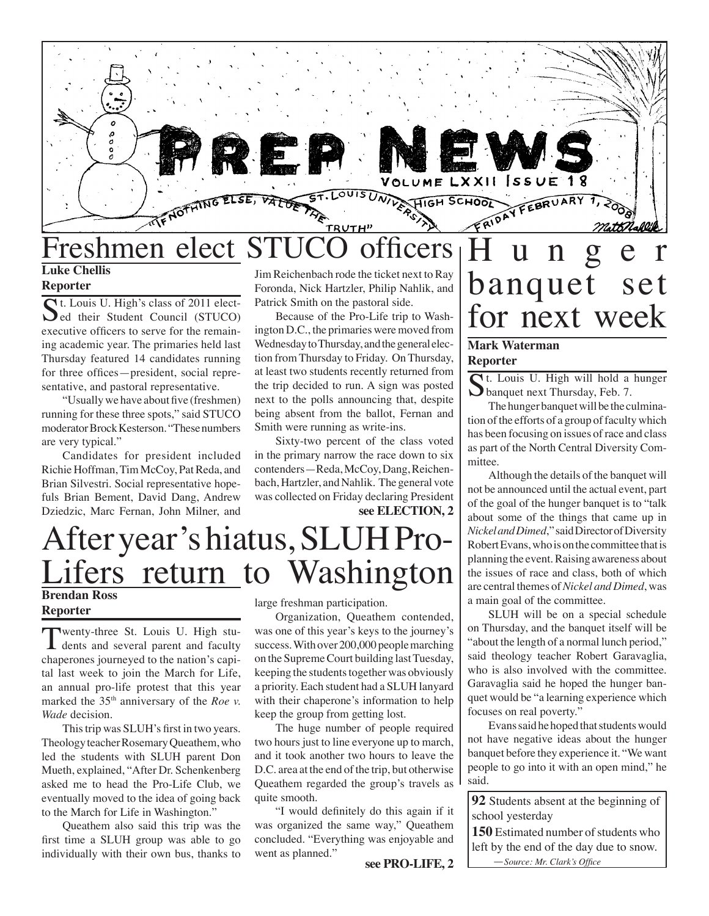

## **Luke Chellis**

#### **Reporter**

St. Louis U. High's class of 2011 elect- $\bigcup$ ed their Student Council (STUCO) executive officers to serve for the remaining academic year. The primaries held last Thursday featured 14 candidates running for three offices—president, social representative, and pastoral representative.

"Usually we have about five (freshmen) running for these three spots," said STUCO moderator Brock Kesterson. "These numbers are very typical."

Candidates for president included Richie Hoffman, Tim McCoy, Pat Reda, and Brian Silvestri. Social representative hopefuls Brian Bement, David Dang, Andrew Dziedzic, Marc Fernan, John Milner, and

Jim Reichenbach rode the ticket next to Ray Foronda, Nick Hartzler, Philip Nahlik, and Patrick Smith on the pastoral side.

Because of the Pro-Life trip to Washington D.C., the primaries were moved from Wednesday to Thursday, and the general election from Thursday to Friday. On Thursday, at least two students recently returned from the trip decided to run. A sign was posted next to the polls announcing that, despite being absent from the ballot, Fernan and Smith were running as write-ins.

**see ELECTION, 2**  Sixty-two percent of the class voted in the primary narrow the race down to six contenders—Reda, McCoy, Dang, Reichenbach, Hartzler, and Nahlik. The general vote was collected on Friday declaring President

## After year's hiatus, SLUH Pro-Lifers return to Washington **Brendan Ross**

### **Reporter**

Twenty-three St. Louis U. High stu-dents and several parent and faculty chaperones journeyed to the nation's capital last week to join the March for Life, an annual pro-life protest that this year marked the 35<sup>th</sup> anniversary of the *Roe v*. *Wade* decision.

This trip was SLUH's first in two years. Theology teacher Rosemary Queathem, who led the students with SLUH parent Don Mueth, explained, "After Dr. Schenkenberg asked me to head the Pro-Life Club, we eventually moved to the idea of going back to the March for Life in Washington."

Queathem also said this trip was the first time a SLUH group was able to go individually with their own bus, thanks to

large freshman participation.

Organization, Queathem contended, was one of this year's keys to the journey's success. With over 200,000 people marching on the Supreme Court building last Tuesday, keeping the students together was obviously a priority. Each student had a SLUH lanyard with their chaperone's information to help keep the group from getting lost.

The huge number of people required two hours just to line everyone up to march, and it took another two hours to leave the D.C. area at the end of the trip, but otherwise Queathem regarded the group's travels as quite smooth.

"I would definitely do this again if it was organized the same way," Queathem concluded. "Everything was enjoyable and went as planned."

**see PRO-LIFE, 2**

# H u n g e r banquet set for next week

#### **Mark Waterman Reporter**

**C**t. Louis U. High will hold a hunger **D** banquet next Thursday, Feb. 7.

The hunger banquet will be the culmination of the efforts of a group of faculty which has been focusing on issues of race and class as part of the North Central Diversity Committee.

Although the details of the banquet will not be announced until the actual event, part of the goal of the hunger banquet is to "talk about some of the things that came up in *Nickel and Dimed*," said Director of Diversity Robert Evans, who is on the committee that is planning the event. Raising awareness about the issues of race and class, both of which are central themes of *Nickel and Dimed*, was a main goal of the committee.

SLUH will be on a special schedule on Thursday, and the banquet itself will be "about the length of a normal lunch period," said theology teacher Robert Garavaglia, who is also involved with the committee. Garavaglia said he hoped the hunger banquet would be "a learning experience which focuses on real poverty."

Evans said he hoped that students would not have negative ideas about the hunger banquet before they experience it. "We want people to go into it with an open mind," he said.

**92** Students absent at the beginning of school yesterday

**150** Estimated number of students who left by the end of the day due to snow. —*Source: Mr. Clark's Office*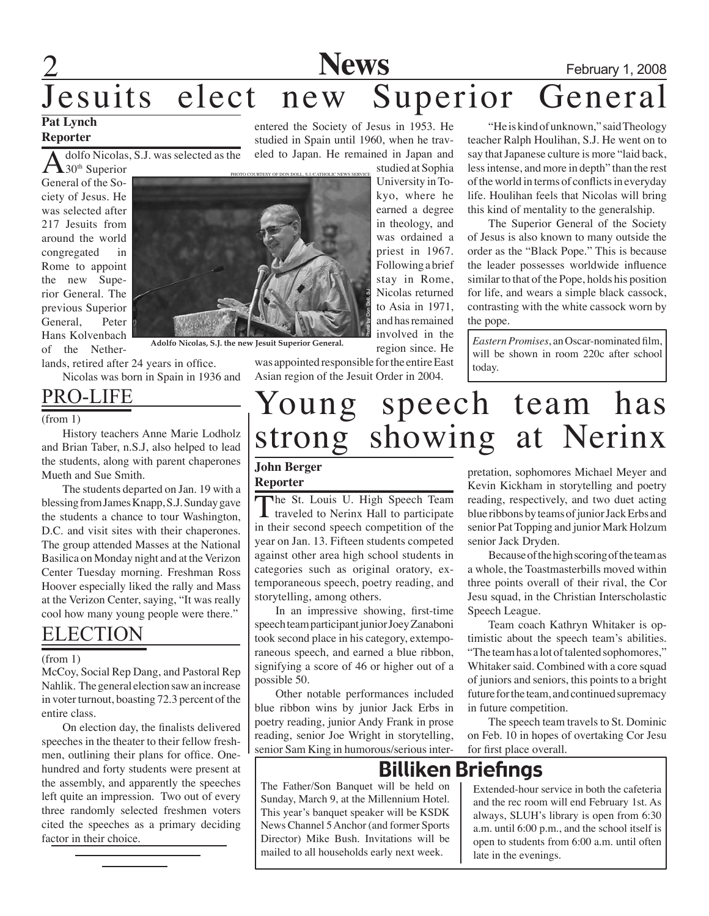# **2** February 1, 2008

# Jesuits elect new Superior General

### **Pat Lynch Reporter**

dolfo Nicolas, S.J. was selected as the

 $\triangle$ 30<sup>th</sup> Superior General of the Society of Jesus. He was selected after 217 Jesuits from around the world congregated in Rome to appoint the new Superior General. The previous Superior General, Peter Hans Kolvenbach of the Nether-

lands, retired after 24 years in office. Nicolas was born in Spain in 1936 and

Pro-Life

(from 1)

History teachers Anne Marie Lodholz and Brian Taber, n.S.J, also helped to lead the students, along with parent chaperones Mueth and Sue Smith.

The students departed on Jan. 19 with a blessing from James Knapp, S.J. Sunday gave the students a chance to tour Washington, D.C. and visit sites with their chaperones. The group attended Masses at the National Basilica on Monday night and at the Verizon Center Tuesday morning. Freshman Ross Hoover especially liked the rally and Mass at the Verizon Center, saying, "It was really cool how many young people were there."

### **ELECTION**

#### (from 1)

McCoy, Social Rep Dang, and Pastoral Rep Nahlik. The general election saw an increase in voter turnout, boasting 72.3 percent of the entire class.

On election day, the finalists delivered speeches in the theater to their fellow freshmen, outlining their plans for office. Onehundred and forty students were present at the assembly, and apparently the speeches left quite an impression. Two out of every three randomly selected freshmen voters cited the speeches as a primary deciding factor in their choice.

entered the Society of Jesus in 1953. He studied in Spain until 1960, when he traveled to Japan. He remained in Japan and

studied at Sophia University in Tokyo, where he earned a degree in theology, and was ordained a priest in 1967. Following a brief stay in Rome, Nicolas returned to Asia in 1971, and has remained involved in the region since. He

was appointed responsible for the entire East Asian region of the Jesuit Order in 2004.

"He is kind of unknown," said Theology teacher Ralph Houlihan, S.J. He went on to say that Japanese culture is more "laid back, less intense, and more in depth" than the rest of the world in terms of conflicts in everyday life. Houlihan feels that Nicolas will bring this kind of mentality to the generalship.

The Superior General of the Society of Jesus is also known to many outside the order as the "Black Pope." This is because the leader possesses worldwide influence similar to that of the Pope, holds his position for life, and wears a simple black cassock, contrasting with the white cassock worn by the pope.

*Eastern Promises*, an Oscar-nominated film, will be shown in room 220c after school today.

# Young speech team has<br>strong showing at Nerinx strong showing

#### **John Berger Reporter**

The St. Louis U. High Speech Team  $\perp$  traveled to Nerinx Hall to participate in their second speech competition of the year on Jan. 13. Fifteen students competed against other area high school students in categories such as original oratory, extemporaneous speech, poetry reading, and storytelling, among others.

In an impressive showing, first-time speech team participant junior Joey Zanaboni took second place in his category, extemporaneous speech, and earned a blue ribbon, signifying a score of 46 or higher out of a possible 50.

Other notable performances included blue ribbon wins by junior Jack Erbs in poetry reading, junior Andy Frank in prose reading, senior Joe Wright in storytelling, senior Sam King in humorous/serious interpretation, sophomores Michael Meyer and Kevin Kickham in storytelling and poetry reading, respectively, and two duet acting blue ribbons by teams of junior Jack Erbs and senior Pat Topping and junior Mark Holzum senior Jack Dryden.

Because of the high scoring of the team as a whole, the Toastmasterbills moved within three points overall of their rival, the Cor Jesu squad, in the Christian Interscholastic Speech League.

Team coach Kathryn Whitaker is optimistic about the speech team's abilities. "The team has a lot of talented sophomores," Whitaker said. Combined with a core squad of juniors and seniors, this points to a bright future for the team, and continued supremacy in future competition.

The speech team travels to St. Dominic on Feb. 10 in hopes of overtaking Cor Jesu for first place overall.

## Billiken Briefings

The Father/Son Banquet will be held on Sunday, March 9, at the Millennium Hotel. This year's banquet speaker will be KSDK News Channel 5 Anchor (and former Sports Director) Mike Bush. Invitations will be mailed to all households early next week.

Extended-hour service in both the cafeteria and the rec room will end February 1st. As always, SLUH's library is open from 6:30 a.m. until 6:00 p.m., and the school itself is open to students from 6:00 a.m. until often late in the evenings.



**Adolfo Nicolas, S.J. the new Jesuit Superior General.**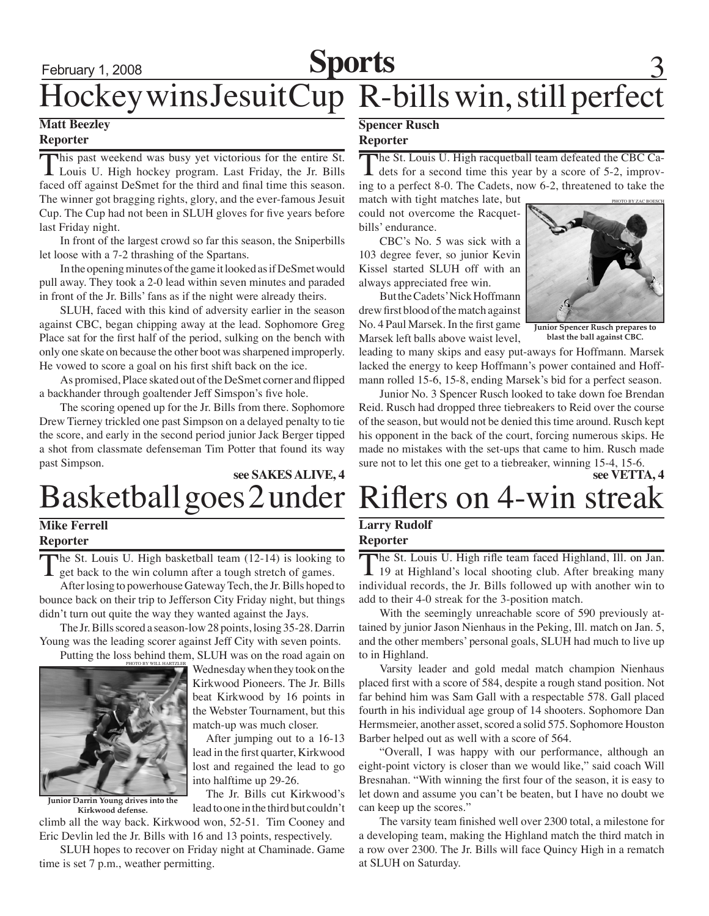# February 1, 2008 **Sports** 3 Hockey wins Jesuit Cup R-bills win, still perfect

#### **Matt Beezley Reporter**

This past weekend was busy yet victorious for the entire St.<br>
Louis U. High hockey program. Last Friday, the Jr. Bills faced off against DeSmet for the third and final time this season. The winner got bragging rights, glory, and the ever-famous Jesuit Cup. The Cup had not been in SLUH gloves for five years before last Friday night.

 In front of the largest crowd so far this season, the Sniperbills let loose with a 7-2 thrashing of the Spartans.

 In the opening minutes of the game it looked as if DeSmet would pull away. They took a 2-0 lead within seven minutes and paraded in front of the Jr. Bills' fans as if the night were already theirs.

SLUH, faced with this kind of adversity earlier in the season against CBC, began chipping away at the lead. Sophomore Greg Place sat for the first half of the period, sulking on the bench with only one skate on because the other boot was sharpened improperly. He vowed to score a goal on his first shift back on the ice.

As promised, Place skated out of the DeSmet corner and flipped a backhander through goaltender Jeff Simspon's five hole.

The scoring opened up for the Jr. Bills from there. Sophomore Drew Tierney trickled one past Simpson on a delayed penalty to tie the score, and early in the second period junior Jack Berger tipped a shot from classmate defenseman Tim Potter that found its way past Simpson.

## Basketball goes 2 under **see SAKES ALIVE, 4**

### **Mike Ferrell Reporter**

The St. Louis U. High basketball team (12-14) is looking to get back to the win column after a tough stretch of games.

After losing to powerhouse Gateway Tech, the Jr. Bills hoped to bounce back on their trip to Jefferson City Friday night, but things didn't turn out quite the way they wanted against the Jays.

The Jr. Bills scored a season-low 28 points, losing 35-28. Darrin Young was the leading scorer against Jeff City with seven points.

Putting the loss behind them, SLUH was on the road again on PHOTO BY WILL H



**Junior Darrin Young drives into the Kirkwood defense.**

Wednesday when they took on the Kirkwood Pioneers. The Jr. Bills beat Kirkwood by 16 points in the Webster Tournament, but this match-up was much closer.

After jumping out to a 16-13 lead in the first quarter, Kirkwood lost and regained the lead to go into halftime up 29-26.

The Jr. Bills cut Kirkwood's lead to one in the third but couldn't

climb all the way back. Kirkwood won, 52-51. Tim Cooney and Eric Devlin led the Jr. Bills with 16 and 13 points, respectively.

SLUH hopes to recover on Friday night at Chaminade. Game time is set 7 p.m., weather permitting.

#### **Spencer Rusch Reporter**

The St. Louis U. High racquetball team defeated the CBC Ca-<br>dets for a second time this year by a score of 5-2, improving to a perfect 8-0. The Cadets, now 6-2, threatened to take the

match with tight matches late, but could not overcome the Racquetbills' endurance.

CBC's No. 5 was sick with a 103 degree fever, so junior Kevin Kissel started SLUH off with an always appreciated free win.

But the Cadets' Nick Hoffmann drew first blood of the match against No. 4 Paul Marsek. In the first game Marsek left balls above waist level,



**Junior Spencer Rusch prepares to blast the ball against CBC.**

leading to many skips and easy put-aways for Hoffmann. Marsek lacked the energy to keep Hoffmann's power contained and Hoffmann rolled 15-6, 15-8, ending Marsek's bid for a perfect season.

Junior No. 3 Spencer Rusch looked to take down foe Brendan Reid. Rusch had dropped three tiebreakers to Reid over the course of the season, but would not be denied this time around. Rusch kept his opponent in the back of the court, forcing numerous skips. He made no mistakes with the set-ups that came to him. Rusch made sure not to let this one get to a tiebreaker, winning 15-4, 15-6.<br>see VETTA. 4

# Riflers on 4-win streak

#### **Larry Rudolf Reporter**

The St. Louis U. High rifle team faced Highland, Ill. on Jan. 19 at Highland's local shooting club. After breaking many individual records, the Jr. Bills followed up with another win to add to their 4-0 streak for the 3-position match.

With the seemingly unreachable score of 590 previously attained by junior Jason Nienhaus in the Peking, Ill. match on Jan. 5, and the other members' personal goals, SLUH had much to live up to in Highland.

 Varsity leader and gold medal match champion Nienhaus placed first with a score of 584, despite a rough stand position. Not far behind him was Sam Gall with a respectable 578. Gall placed fourth in his individual age group of 14 shooters. Sophomore Dan Hermsmeier, another asset, scored a solid 575. Sophomore Houston Barber helped out as well with a score of 564.

"Overall, I was happy with our performance, although an eight-point victory is closer than we would like," said coach Will Bresnahan. "With winning the first four of the season, it is easy to let down and assume you can't be beaten, but I have no doubt we can keep up the scores."

The varsity team finished well over 2300 total, a milestone for a developing team, making the Highland match the third match in a row over 2300. The Jr. Bills will face Quincy High in a rematch at SLUH on Saturday.